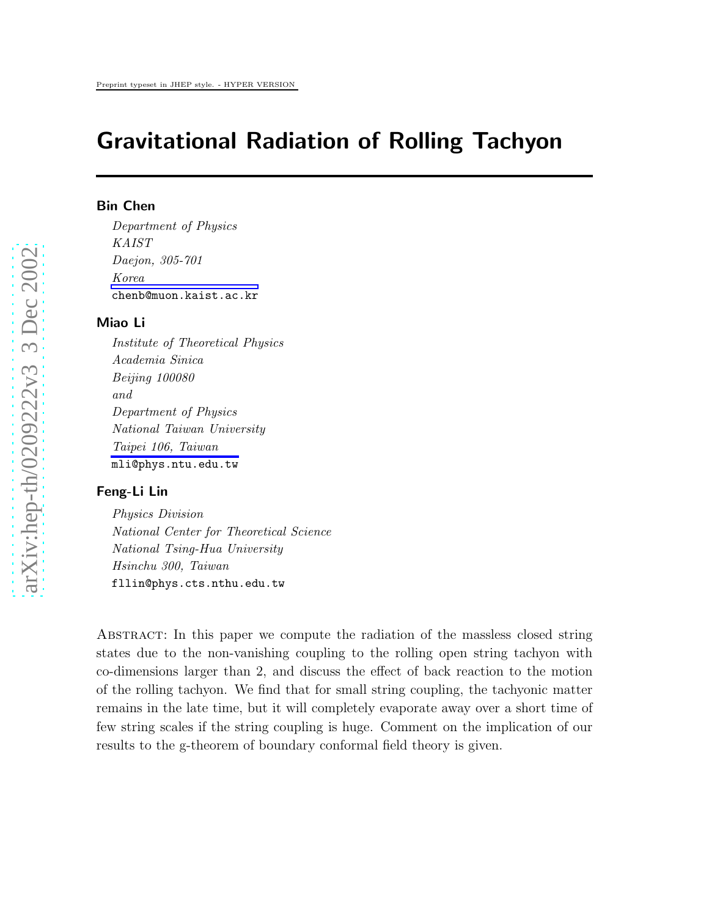# Gravitational Radiation of Rolling Tachyon

## Bin Chen

Department of Physics KAIST Daejon, 305-701 Korea chenb@muon.kaist.ac.kr

## Miao Li

Institute of Theoretical Physics Academia Sinica Beijing 100080 and Department of Physics National Taiwan University Taipei 106, Taiwan mli@phys.ntu.edu.tw

#### Feng-Li Lin

Physics Division National Center for Theoretical Science National Tsing-Hua University Hsinchu 300, Taiwan fllin@phys.cts.nthu.edu.tw

Abstract: In this paper we compute the radiation of the massless closed string states due to the non-vanishing coupling to the rolling open string tachyon with co-dimensions larger than 2, and discuss the effect of back reaction to the motion of the rolling tachyon. We find that for small string coupling, the tachyonic matter remains in the late time, but it will completely evaporate away over a short time of few string scales if the string coupling is huge. Comment on the implication of our results to the g-theorem of boundary conformal field theory is given.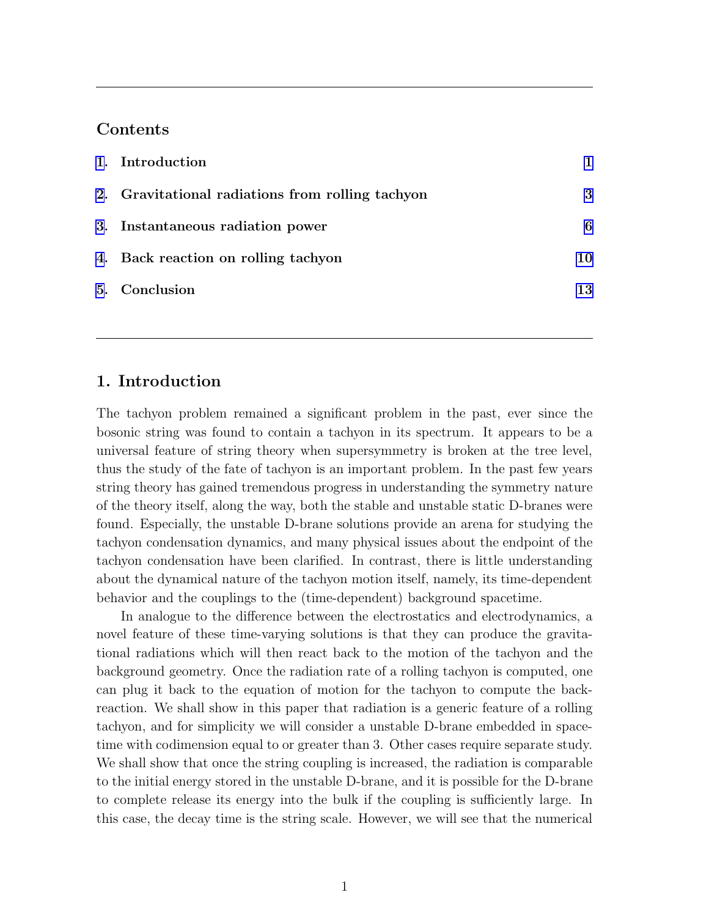# Contents

| 1. Introduction                                  |    |
|--------------------------------------------------|----|
| 2. Gravitational radiations from rolling tachyon | 3  |
| 3. Instantaneous radiation power                 | 6  |
| 4. Back reaction on rolling tachyon              | 10 |
| 5. Conclusion                                    | 13 |

# 1. Introduction

The tachyon problem remained a significant problem in the past, ever since the bosonic string was found to contain a tachyon in its spectrum. It appears to be a universal feature of string theory when supersymmetry is broken at the tree level, thus the study of the fate of tachyon is an important problem. In the past few years string theory has gained tremendous progress in understanding the symmetry nature of the theory itself, along the way, both the stable and unstable static D-branes were found. Especially, the unstable D-brane solutions provide an arena for studying the tachyon condensation dynamics, and many physical issues about the endpoint of the tachyon condensation have been clarified. In contrast, there is little understanding about the dynamical nature of the tachyon motion itself, namely, its time-dependent behavior and the couplings to the (time-dependent) background spacetime.

In analogue to the difference between the electrostatics and electrodynamics, a novel feature of these time-varying solutions is that they can produce the gravitational radiations which will then react back to the motion of the tachyon and the background geometry. Once the radiation rate of a rolling tachyon is computed, one can plug it back to the equation of motion for the tachyon to compute the backreaction. We shall show in this paper that radiation is a generic feature of a rolling tachyon, and for simplicity we will consider a unstable D-brane embedded in spacetime with codimension equal to or greater than 3. Other cases require separate study. We shall show that once the string coupling is increased, the radiation is comparable to the initial energy stored in the unstable D-brane, and it is possible for the D-brane to complete release its energy into the bulk if the coupling is sufficiently large. In this case, the decay time is the string scale. However, we will see that the numerical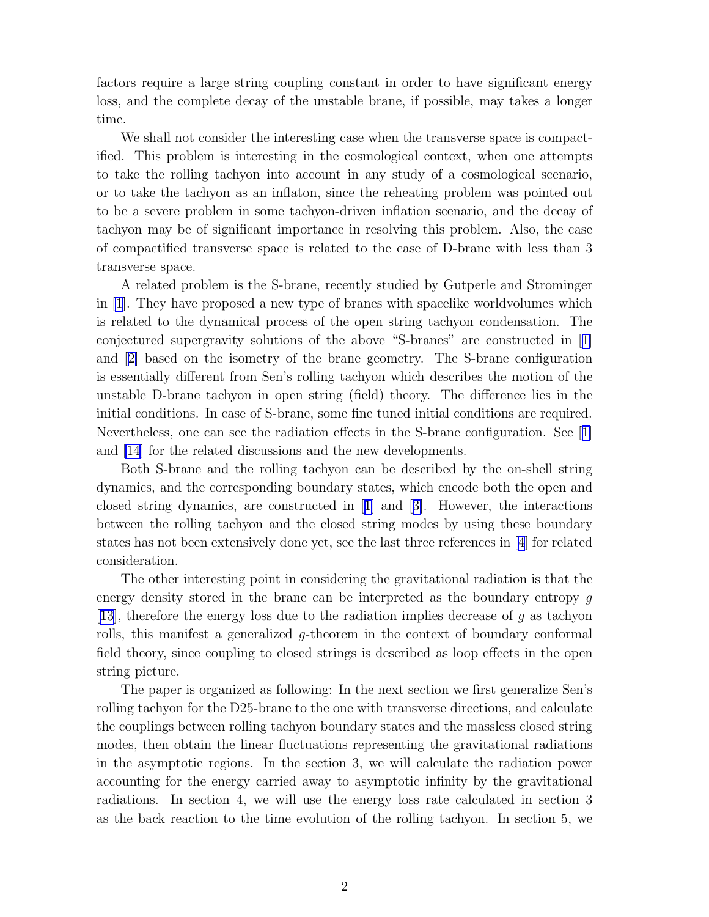factors require a large string coupling constant in order to have significant energy loss, and the complete decay of the unstable brane, if possible, may takes a longer time.

We shall not consider the interesting case when the transverse space is compactified. This problem is interesting in the cosmological context, when one attempts to take the rolling tachyon into account in any study of a cosmological scenario, or to take the tachyon as an inflaton, since the reheating problem was pointed out to be a severe problem in some tachyon-driven inflation scenario, and the decay of tachyon may be of significant importance in resolving this problem. Also, the case of compactified transverse space is related to the case of D-brane with less than 3 transverse space.

A related problem is the S-brane, recently studied by Gutperle and Strominger in [\[1\]](#page-15-0). They have proposed a new type of branes with spacelike worldvolumes which is related to the dynamical process of the open string tachyon condensation. The conjectured supergravity solutions of the above "S-branes" are constructed in[[1\]](#page-15-0) and[[2\]](#page-15-0) based on the isometry of the brane geometry. The S-brane configuration is essentially different from Sen's rolling tachyon which describes the motion of the unstable D-brane tachyon in open string (field) theory. The difference lies in the initial conditions. In case of S-brane, some fine tuned initial conditions are required. Nevertheless, one can see the radiation effects in the S-brane configuration. See[[1\]](#page-15-0) and [\[14](#page-17-0)] for the related discussions and the new developments.

Both S-brane and the rolling tachyon can be described by the on-shell string dynamics, and the corresponding boundary states, which encode both the open and closed string dynamics, are constructed in[[1\]](#page-15-0) and[[3\]](#page-15-0). However, the interactions between the rolling tachyon and the closed string modes by using these boundary states has not been extensively done yet, see the last three references in[[4](#page-15-0)] for related consideration.

The other interesting point in considering the gravitational radiation is that the energy density stored in the brane can be interpreted as the boundary entropy g [[13](#page-17-0)], therefore the energy loss due to the radiation implies decrease of  $g$  as tachyon rolls, this manifest a generalized g-theorem in the context of boundary conformal field theory, since coupling to closed strings is described as loop effects in the open string picture.

The paper is organized as following: In the next section we first generalize Sen's rolling tachyon for the D25-brane to the one with transverse directions, and calculate the couplings between rolling tachyon boundary states and the massless closed string modes, then obtain the linear fluctuations representing the gravitational radiations in the asymptotic regions. In the section 3, we will calculate the radiation power accounting for the energy carried away to asymptotic infinity by the gravitational radiations. In section 4, we will use the energy loss rate calculated in section 3 as the back reaction to the time evolution of the rolling tachyon. In section 5, we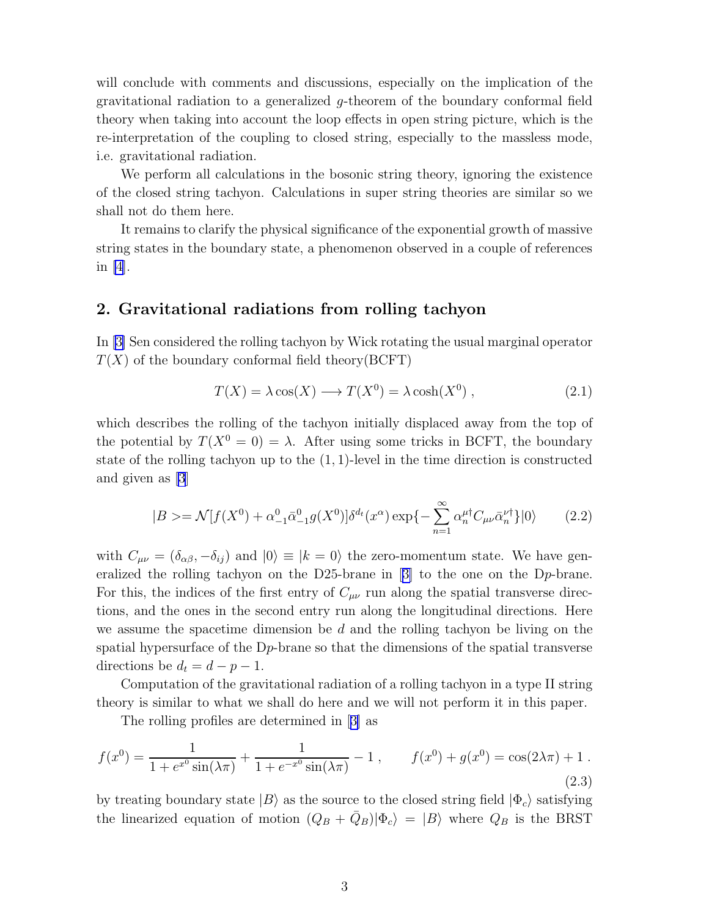<span id="page-3-0"></span>will conclude with comments and discussions, especially on the implication of the gravitational radiation to a generalized g-theorem of the boundary conformal field theory when taking into account the loop effects in open string picture, which is the re-interpretation of the coupling to closed string, especially to the massless mode, i.e. gravitational radiation.

We perform all calculations in the bosonic string theory, ignoring the existence of the closed string tachyon. Calculations in super string theories are similar so we shall not do them here.

It remains to clarify the physical significance of the exponential growth of massive string states in the boundary state, a phenomenon observed in a couple of references in [\[4](#page-15-0)].

## 2. Gravitational radiations from rolling tachyon

In[[3\]](#page-15-0) Sen considered the rolling tachyon by Wick rotating the usual marginal operator  $T(X)$  of the boundary conformal field theory(BCFT)

$$
T(X) = \lambda \cos(X) \longrightarrow T(X^0) = \lambda \cosh(X^0) , \qquad (2.1)
$$

which describes the rolling of the tachyon initially displaced away from the top of the potential by  $T(X^0 = 0) = \lambda$ . After using some tricks in BCFT, the boundary state of the rolling tachyon up to the (1, 1)-level in the time direction is constructed and given as [\[3](#page-15-0)]

$$
|B\rangle = \mathcal{N}[f(X^0) + \alpha_{-1}^0 \bar{\alpha}_{-1}^0 g(X^0)] \delta^{d_t}(x^\alpha) \exp\{-\sum_{n=1}^\infty \alpha_n^{\mu\dagger} C_{\mu\nu} \bar{\alpha}_n^{\nu\dagger}\} |0\rangle \tag{2.2}
$$

with  $C_{\mu\nu} = (\delta_{\alpha\beta}, -\delta_{ij})$  and  $|0\rangle \equiv |k=0\rangle$  the zero-momentum state. We have generalized the rolling tachyon on the D25-brane in[[3\]](#page-15-0) to the one on the Dp-brane. For this, the indices of the first entry of  $C_{\mu\nu}$  run along the spatial transverse directions, and the ones in the second entry run along the longitudinal directions. Here we assume the spacetime dimension be  $d$  and the rolling tachyon be living on the spatial hypersurface of the Dp-brane so that the dimensions of the spatial transverse directions be  $d_t = d - p - 1$ .

Computation of the gravitational radiation of a rolling tachyon in a type II string theory is similar to what we shall do here and we will not perform it in this paper.

The rolling profiles are determined in[[3\]](#page-15-0) as

$$
f(x^{0}) = \frac{1}{1 + e^{x^{0}} \sin(\lambda \pi)} + \frac{1}{1 + e^{-x^{0}} \sin(\lambda \pi)} - 1, \qquad f(x^{0}) + g(x^{0}) = \cos(2\lambda \pi) + 1.
$$
\n(2.3)

by treating boundary state  $|B\rangle$  as the source to the closed string field  $|\Phi_c\rangle$  satisfying the linearized equation of motion  $(Q_B + \bar{Q}_B)|\Phi_c\rangle = |B\rangle$  where  $Q_B$  is the BRST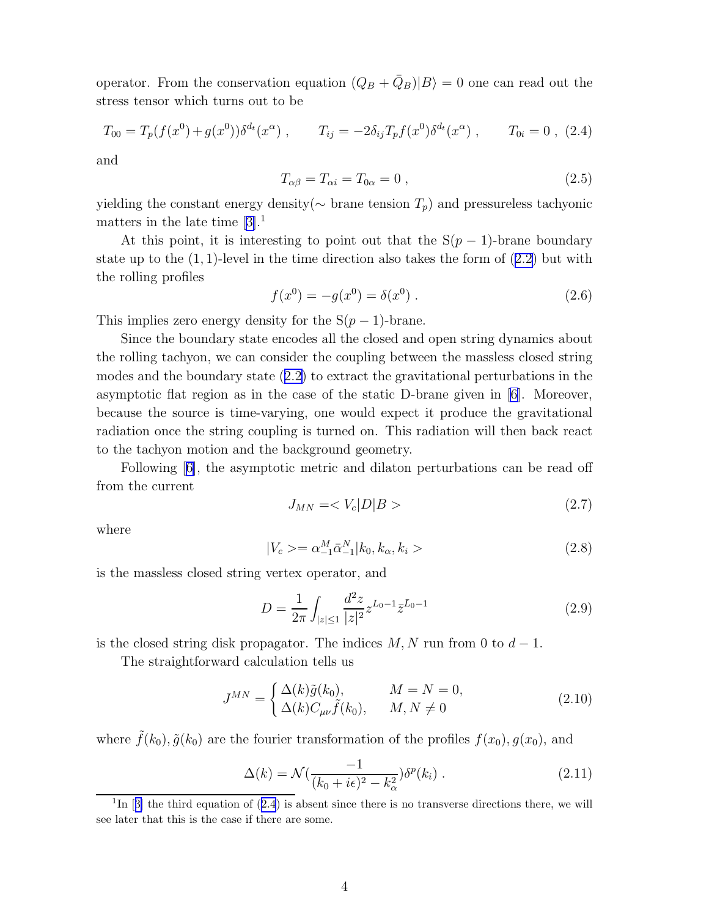<span id="page-4-0"></span>operator. From the conservation equation  $(Q_B + \bar{Q}_B)|B\rangle = 0$  one can read out the stress tensor which turns out to be

$$
T_{00} = T_p(f(x^0) + g(x^0))\delta^{d_t}(x^{\alpha}), \qquad T_{ij} = -2\delta_{ij}T_p f(x^0)\delta^{d_t}(x^{\alpha}), \qquad T_{0i} = 0, \tag{2.4}
$$

and

$$
T_{\alpha\beta} = T_{\alpha i} = T_{0\alpha} = 0 , \qquad (2.5)
$$

yielding the constant energy density( $\sim$  brane tension  $T_p$ ) and pressureless tachyonic mattersin the late time  $[3].<sup>1</sup>$  $[3].<sup>1</sup>$  $[3].<sup>1</sup>$ 

At this point, it is interesting to point out that the  $S(p-1)$ -brane boundary stateup to the  $(1, 1)$ -level in the time direction also takes the form of  $(2.2)$  $(2.2)$  but with the rolling profiles

$$
f(x^{0}) = -g(x^{0}) = \delta(x^{0}).
$$
\n(2.6)

This implies zero energy density for the  $S(p-1)$ -brane.

Since the boundary state encodes all the closed and open string dynamics about the rolling tachyon, we can consider the coupling between the massless closed string modes and the boundary state([2.2\)](#page-3-0) to extract the gravitational perturbations in the asymptotic flat region as in the case of the static D-brane given in [\[6](#page-16-0)]. Moreover, because the source is time-varying, one would expect it produce the gravitational radiation once the string coupling is turned on. This radiation will then back react to the tachyon motion and the background geometry.

Following[[6\]](#page-16-0), the asymptotic metric and dilaton perturbations can be read off from the current

$$
J_{MN} = \langle V_c | D | B \rangle \tag{2.7}
$$

where

$$
|V_c\rangle = \alpha_{-1}^M \bar{\alpha}_{-1}^N |k_0, k_\alpha, k_i\rangle \tag{2.8}
$$

is the massless closed string vertex operator, and

$$
D = \frac{1}{2\pi} \int_{|z| \le 1} \frac{d^2 z}{|z|^2} z^{L_0 - 1} \bar{z}^{\bar{L}_0 - 1}
$$
\n(2.9)

is the closed string disk propagator. The indices  $M, N$  run from 0 to  $d - 1$ .

The straightforward calculation tells us

$$
J^{MN} = \begin{cases} \Delta(k)\tilde{g}(k_0), & M = N = 0, \\ \Delta(k)C_{\mu\nu}\tilde{f}(k_0), & M, N \neq 0 \end{cases}
$$
 (2.10)

where  $\tilde{f}(k_0), \tilde{g}(k_0)$  are the fourier transformation of the profiles  $f(x_0), g(x_0)$ , and

$$
\Delta(k) = \mathcal{N}\left(\frac{-1}{(k_0 + i\epsilon)^2 - k_\alpha^2}\right) \delta^p(k_i) \,. \tag{2.11}
$$

<sup>&</sup>lt;sup>1</sup>In[[3\]](#page-15-0) the third equation of  $(2.4)$  is absent since there is no transverse directions there, we will see later that this is the case if there are some.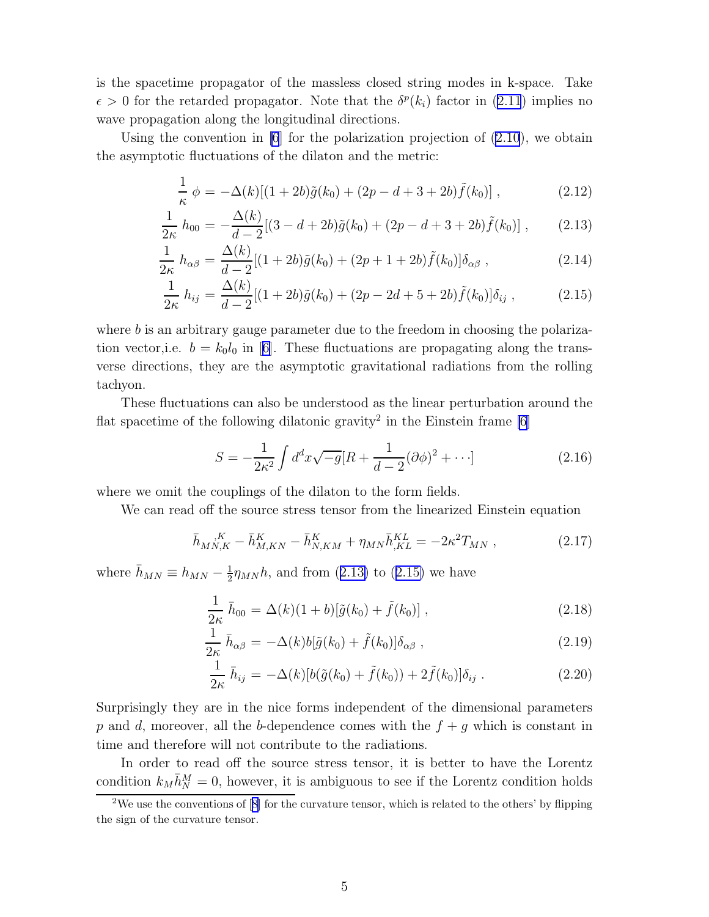<span id="page-5-0"></span>is the spacetime propagator of the massless closed string modes in k-space. Take  $\epsilon > 0$  $\epsilon > 0$  $\epsilon > 0$  for the retarded propagator. Note that the  $\delta^{p}(k_i)$  factor in ([2.11](#page-4-0)) implies no wave propagation along the longitudinal directions.

Using the convention in  $[6]$  for the polarization projection of  $(2.10)$ , we obtain the asymptotic fluctuations of the dilaton and the metric:

$$
\frac{1}{\kappa} \phi = -\Delta(k)[(1+2b)\tilde{g}(k_0) + (2p - d + 3 + 2b)\tilde{f}(k_0)],
$$
\n(2.12)

$$
\frac{1}{2\kappa} h_{00} = -\frac{\Delta(k)}{d-2} [(3-d+2b)\tilde{g}(k_0) + (2p-d+3+2b)\tilde{f}(k_0)],
$$
 (2.13)

$$
\frac{1}{2\kappa} h_{\alpha\beta} = \frac{\Delta(k)}{d-2} [(1+2b)\tilde{g}(k_0) + (2p+1+2b)\tilde{f}(k_0)] \delta_{\alpha\beta} ,
$$
\n(2.14)

$$
\frac{1}{2\kappa} h_{ij} = \frac{\Delta(k)}{d-2} [(1+2b)\tilde{g}(k_0) + (2p - 2d + 5 + 2b)\tilde{f}(k_0)] \delta_{ij}, \qquad (2.15)
$$

where  $b$  is an arbitrary gauge parameter due to the freedom in choosing the polarizationvector, i.e.  $b = k_0 l_0$  in [[6\]](#page-16-0). These fluctuations are propagating along the transverse directions, they are the asymptotic gravitational radiations from the rolling tachyon.

These fluctuations can also be understood as the linear perturbation around the flat spacetime of the following dilatonic gravity<sup>2</sup> in the Einstein frame  $[6]$ 

$$
S = -\frac{1}{2\kappa^2} \int d^d x \sqrt{-g} [R + \frac{1}{d-2} (\partial \phi)^2 + \cdots] \tag{2.16}
$$

where we omit the couplings of the dilaton to the form fields.

We can read off the source stress tensor from the linearized Einstein equation

$$
\bar{h}_{MN,K}{}^{\phantom{M}K} - \bar{h}_{M,KN}^K - \bar{h}_{N,KM}^K + \eta_{MN}\bar{h}_{,KL}^{KL} = -2\kappa^2 T_{MN} \,, \tag{2.17}
$$

where  $\bar{h}_{MN} \equiv h_{MN} - \frac{1}{2}$  $\frac{1}{2}\eta_{MN}h$ , and from (2.13) to (2.15) we have

$$
\frac{1}{2\kappa} \bar{h}_{00} = \Delta(k)(1+b)[\tilde{g}(k_0) + \tilde{f}(k_0)], \qquad (2.18)
$$

$$
\frac{1}{2\kappa} \bar{h}_{\alpha\beta} = -\Delta(k)b[\tilde{g}(k_0) + \tilde{f}(k_0)]\delta_{\alpha\beta} , \qquad (2.19)
$$

$$
\frac{1}{2\kappa} \bar{h}_{ij} = -\Delta(k)[b(\tilde{g}(k_0) + \tilde{f}(k_0)) + 2\tilde{f}(k_0)]\delta_{ij} . \qquad (2.20)
$$

Surprisingly they are in the nice forms independent of the dimensional parameters p and d, moreover, all the b-dependence comes with the  $f + q$  which is constant in time and therefore will not contribute to the radiations.

In order to read off the source stress tensor, it is better to have the Lorentz condition  $k_M \overline{h}_N^M = 0$ , however, it is ambiguous to see if the Lorentz condition holds

<sup>&</sup>lt;sup>2</sup>Weuse the conventions of  $[8]$  $[8]$  for the curvature tensor, which is related to the others' by flipping the sign of the curvature tensor.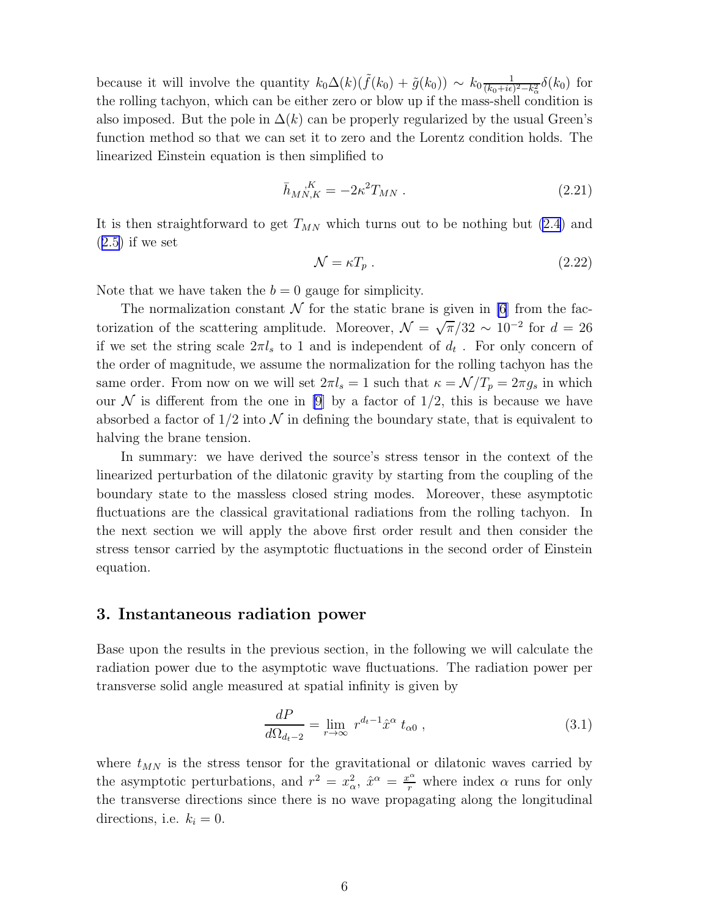<span id="page-6-0"></span>because it will involve the quantity  $k_0\Delta(k)(\tilde{f}(k_0) + \tilde{g}(k_0)) \sim k_0 \frac{1}{(k_0 + i\epsilon)}$  $\frac{1}{(k_0+i\epsilon)^2-k_\alpha^2}\delta(k_0)$  for the rolling tachyon, which can be either zero or blow up if the mass-shell condition is also imposed. But the pole in  $\Delta(k)$  can be properly regularized by the usual Green's function method so that we can set it to zero and the Lorentz condition holds. The linearized Einstein equation is then simplified to

$$
\bar{h}_{MN,K} = -2\kappa^2 T_{MN} \ . \tag{2.21}
$$

It is then straightforward to get  $T_{MN}$  which turns out to be nothing but [\(2.4](#page-4-0)) and  $(2.5)$  $(2.5)$  if we set

$$
\mathcal{N} = \kappa T_p \,. \tag{2.22}
$$

Note that we have taken the  $b = 0$  gauge for simplicity.

The normalization constant  $\mathcal N$  for the static brane is given in [\[6](#page-16-0)] from the factorization of the scattering amplitude. Moreover,  $\mathcal{N} = \sqrt{\pi}/32 \sim 10^{-2}$  for  $d = 26$ if we set the string scale  $2\pi l_s$  to 1 and is independent of  $d_t$ . For only concern of the order of magnitude, we assume the normalization for the rolling tachyon has the same order. From now on we will set  $2\pi l_s = 1$  such that  $\kappa = \mathcal{N}/T_p = 2\pi g_s$  in which our N is different from the one in [\[9](#page-16-0)] by a factor of  $1/2$ , this is because we have absorbed a factor of  $1/2$  into  $\mathcal N$  in defining the boundary state, that is equivalent to halving the brane tension.

In summary: we have derived the source's stress tensor in the context of the linearized perturbation of the dilatonic gravity by starting from the coupling of the boundary state to the massless closed string modes. Moreover, these asymptotic fluctuations are the classical gravitational radiations from the rolling tachyon. In the next section we will apply the above first order result and then consider the stress tensor carried by the asymptotic fluctuations in the second order of Einstein equation.

### 3. Instantaneous radiation power

Base upon the results in the previous section, in the following we will calculate the radiation power due to the asymptotic wave fluctuations. The radiation power per transverse solid angle measured at spatial infinity is given by

$$
\frac{dP}{d\Omega_{d_t-2}} = \lim_{r \to \infty} r^{d_t-1} \hat{x}^\alpha t_{\alpha 0} , \qquad (3.1)
$$

where  $t_{MN}$  is the stress tensor for the gravitational or dilatonic waves carried by the asymptotic perturbations, and  $r^2 = x_\alpha^2$ ,  $\hat{x}^\alpha = \frac{x^\alpha}{r}$  where index  $\alpha$  runs for only the transverse directions since there is no wave propagating along the longitudinal directions, i.e.  $k_i = 0$ .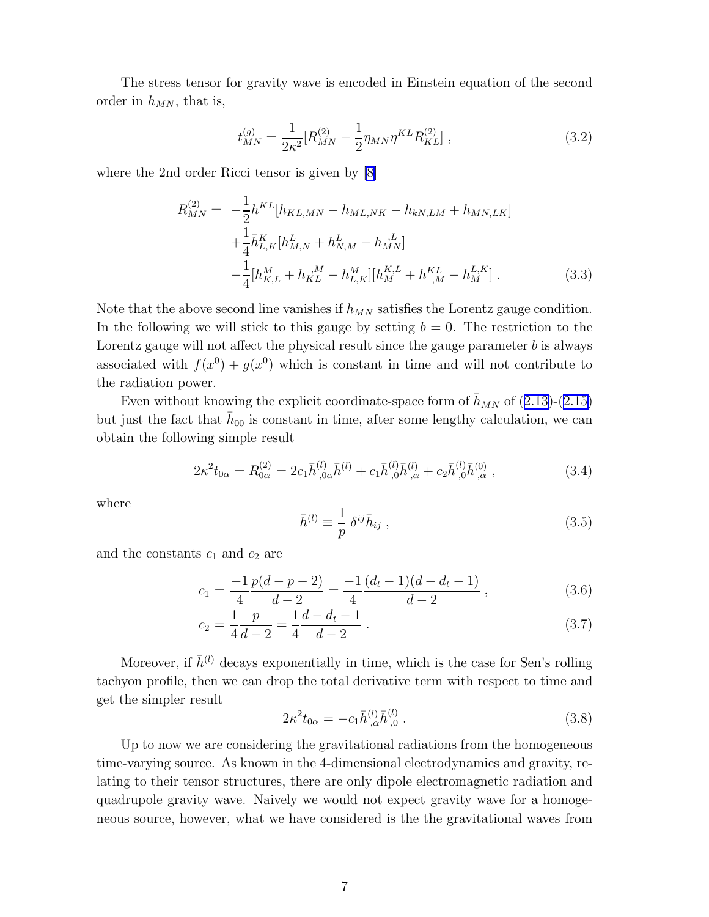<span id="page-7-0"></span>The stress tensor for gravity wave is encoded in Einstein equation of the second order in  $h_{MN}$ , that is,

$$
t_{MN}^{(g)} = \frac{1}{2\kappa^2} [R_{MN}^{(2)} - \frac{1}{2} \eta_{MN} \eta^{KL} R_{KL}^{(2)}], \qquad (3.2)
$$

where the 2nd order Ricci tensor is given by [\[8\]](#page-16-0)

$$
R_{MN}^{(2)} = -\frac{1}{2} h^{KL} [h_{KL,MN} - h_{ML,NK} - h_{kN,LM} + h_{MN,LK}] + \frac{1}{4} \bar{h}_{L,K}^{K} [h_{M,N}^{L} + h_{N,M}^{L} - h_{MN}^{L}] -\frac{1}{4} [h_{K,L}^{M} + h_{KL}^{M} - h_{L,K}^{M}] [h_{M}^{K,L} + h_{,M}^{KL} - h_{M}^{L,K}].
$$
 (3.3)

Note that the above second line vanishes if  $h_{MN}$  satisfies the Lorentz gauge condition. In the following we will stick to this gauge by setting  $b = 0$ . The restriction to the Lorentz gauge will not affect the physical result since the gauge parameter  $b$  is always associated with  $f(x^0) + g(x^0)$  which is constant in time and will not contribute to the radiation power.

Evenwithout knowing the explicit coordinate-space form of  $\bar{h}_{MN}$  of ([2.13\)](#page-5-0)-([2.15\)](#page-5-0) but just the fact that  $\bar{h}_{00}$  is constant in time, after some lengthy calculation, we can obtain the following simple result

$$
2\kappa^2 t_{0\alpha} = R_{0\alpha}^{(2)} = 2c_1 \bar{h}_{0\alpha}^{(l)} \bar{h}_{0\alpha}^{(l)} + c_1 \bar{h}_{0\alpha}^{(l)} \bar{h}_{\alpha}^{(l)} + c_2 \bar{h}_{0\alpha}^{(l)} \bar{h}_{\alpha}^{(0)}, \qquad (3.4)
$$

where

$$
\bar{h}^{(l)} \equiv \frac{1}{p} \delta^{ij} \bar{h}_{ij} , \qquad (3.5)
$$

and the constants  $c_1$  and  $c_2$  are

$$
c_1 = \frac{-1}{4} \frac{p(d-p-2)}{d-2} = \frac{-1}{4} \frac{(d_t - 1)(d - d_t - 1)}{d-2} ,\qquad (3.6)
$$

$$
c_2 = \frac{1}{4} \frac{p}{d-2} = \frac{1}{4} \frac{d-d_t-1}{d-2} \,. \tag{3.7}
$$

Moreover, if  $\bar{h}^{(l)}$  decays exponentially in time, which is the case for Sen's rolling tachyon profile, then we can drop the total derivative term with respect to time and get the simpler result

$$
2\kappa^2 t_{0\alpha} = -c_1 \bar{h}_{,\alpha}^{(l)} \bar{h}_{,0}^{(l)} . \tag{3.8}
$$

Up to now we are considering the gravitational radiations from the homogeneous time-varying source. As known in the 4-dimensional electrodynamics and gravity, relating to their tensor structures, there are only dipole electromagnetic radiation and quadrupole gravity wave. Naively we would not expect gravity wave for a homogeneous source, however, what we have considered is the the gravitational waves from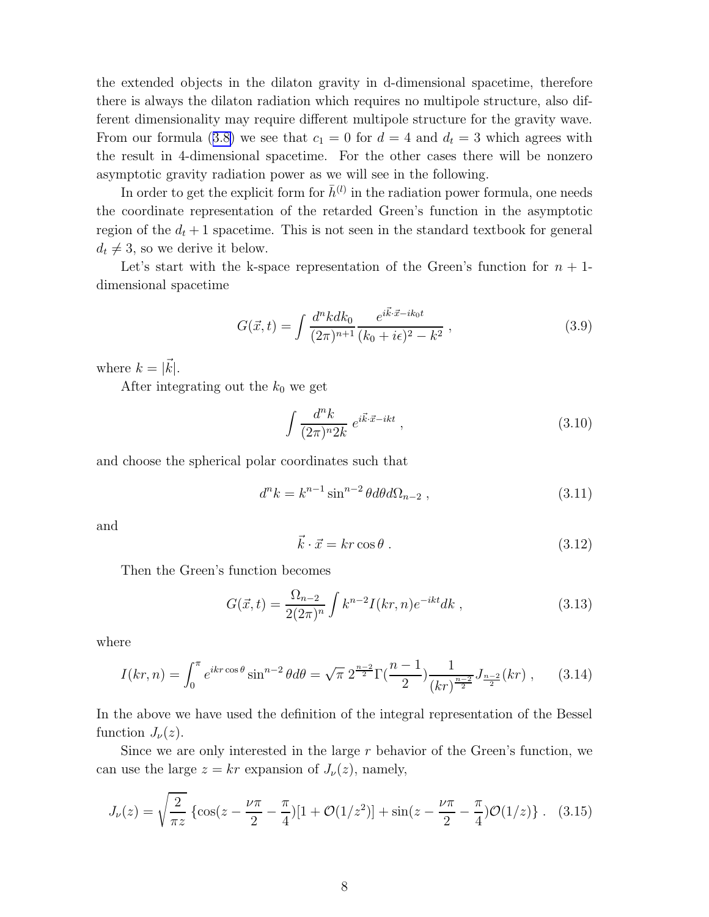<span id="page-8-0"></span>the extended objects in the dilaton gravity in d-dimensional spacetime, therefore there is always the dilaton radiation which requires no multipole structure, also different dimensionality may require different multipole structure for the gravity wave. Fromour formula ([3.8\)](#page-7-0) we see that  $c_1 = 0$  for  $d = 4$  and  $d_t = 3$  which agrees with the result in 4-dimensional spacetime. For the other cases there will be nonzero asymptotic gravity radiation power as we will see in the following.

In order to get the explicit form for  $\bar{h}^{(l)}$  in the radiation power formula, one needs the coordinate representation of the retarded Green's function in the asymptotic region of the  $d_t + 1$  spacetime. This is not seen in the standard textbook for general  $d_t \neq 3$ , so we derive it below.

Let's start with the k-space representation of the Green's function for  $n + 1$ dimensional spacetime

$$
G(\vec{x},t) = \int \frac{d^n k dk_0}{(2\pi)^{n+1}} \frac{e^{i\vec{k}\cdot\vec{x} - ik_0t}}{(k_0 + i\epsilon)^2 - k^2},
$$
\n(3.9)

where  $k = |\vec{k}|$ .

After integrating out the  $k_0$  we get

$$
\int \frac{d^n k}{(2\pi)^n 2k} e^{i\vec{k}\cdot\vec{x}-ikt} ,\qquad (3.10)
$$

and choose the spherical polar coordinates such that

$$
d^n k = k^{n-1} \sin^{n-2} \theta d\theta d\Omega_{n-2} , \qquad (3.11)
$$

and

$$
\vec{k} \cdot \vec{x} = kr \cos \theta \,. \tag{3.12}
$$

Then the Green's function becomes

$$
G(\vec{x},t) = \frac{\Omega_{n-2}}{2(2\pi)^n} \int k^{n-2} I(kr,n) e^{-ikt} dk , \qquad (3.13)
$$

where

$$
I(kr, n) = \int_0^{\pi} e^{ikr \cos \theta} \sin^{n-2} \theta d\theta = \sqrt{\pi} \; 2^{\frac{n-2}{2}} \Gamma(\frac{n-1}{2}) \frac{1}{(kr)^{\frac{n-2}{2}}} J_{\frac{n-2}{2}}(kr) \; , \tag{3.14}
$$

In the above we have used the definition of the integral representation of the Bessel function  $J_{\nu}(z)$ .

Since we are only interested in the large  $r$  behavior of the Green's function, we can use the large  $z = kr$  expansion of  $J_{\nu}(z)$ , namely,

$$
J_{\nu}(z) = \sqrt{\frac{2}{\pi z}} \left\{ \cos(z - \frac{\nu \pi}{2} - \frac{\pi}{4}) [1 + \mathcal{O}(1/z^2)] + \sin(z - \frac{\nu \pi}{2} - \frac{\pi}{4}) \mathcal{O}(1/z) \right\}.
$$
 (3.15)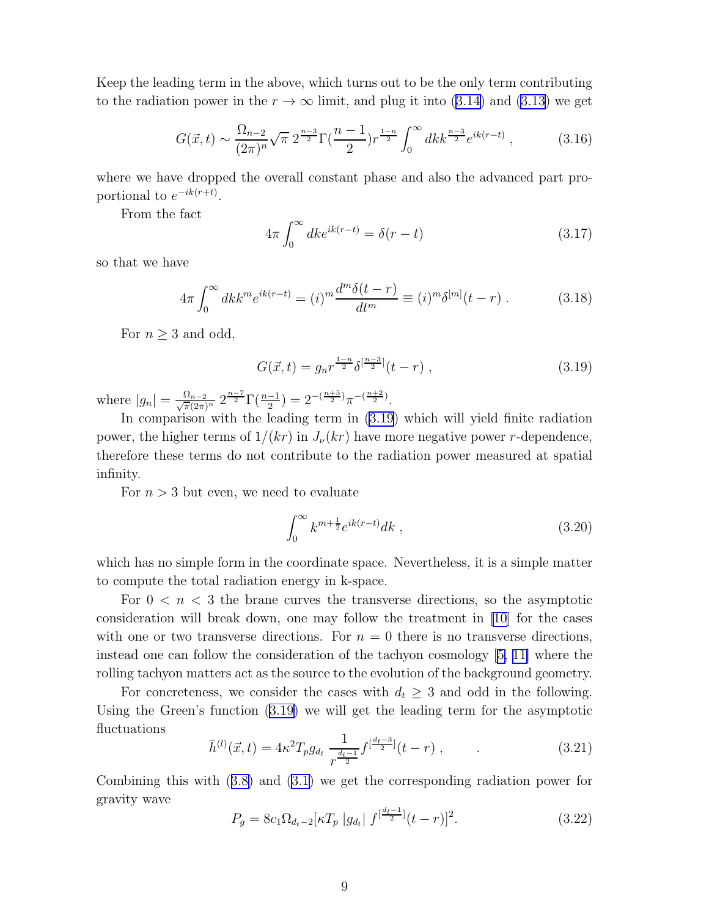<span id="page-9-0"></span>Keep the leading term in the above, which turns out to be the only term contributing tothe radiation power in the  $r \to \infty$  limit, and plug it into ([3.14\)](#page-8-0) and [\(3.13\)](#page-8-0) we get

$$
G(\vec{x},t) \sim \frac{\Omega_{n-2}}{(2\pi)^n} \sqrt{\pi} \ 2^{\frac{n-3}{2}} \Gamma(\frac{n-1}{2}) r^{\frac{1-n}{2}} \int_0^\infty dk k^{\frac{n-3}{2}} e^{ik(r-t)} , \qquad (3.16)
$$

where we have dropped the overall constant phase and also the advanced part proportional to  $e^{-ik(r+t)}$ .

From the fact

$$
4\pi \int_0^\infty dk e^{ik(r-t)} = \delta(r-t)
$$
\n(3.17)

so that we have

$$
4\pi \int_0^\infty dk k^m e^{ik(r-t)} = (i)^m \frac{d^m \delta(t-r)}{dt^m} \equiv (i)^m \delta^{[m]}(t-r) . \tag{3.18}
$$

For  $n \geq 3$  and odd,

$$
G(\vec{x},t) = g_n r^{\frac{1-n}{2}} \delta^{\left[\frac{n-3}{2}\right]}(t-r) , \qquad (3.19)
$$

where  $|g_n| = \frac{\Omega_{n-2}}{\sqrt{\pi}(2\pi)^n} 2^{\frac{n-7}{2}} \Gamma(\frac{n-1}{2}) = 2^{-(\frac{n+5}{2})} \pi^{-(\frac{n+2}{2})}.$ 

In comparison with the leading term in (3.19) which will yield finite radiation power, the higher terms of  $1/(kr)$  in  $J_{\nu}(kr)$  have more negative power r-dependence, therefore these terms do not contribute to the radiation power measured at spatial infinity.

For  $n > 3$  but even, we need to evaluate

$$
\int_0^\infty k^{m+\frac{1}{2}} e^{ik(r-t)} \, dk \tag{3.20}
$$

which has no simple form in the coordinate space. Nevertheless, it is a simple matter to compute the total radiation energy in k-space.

For  $0 \leq n \leq 3$  the brane curves the transverse directions, so the asymptotic consideration will break down, one may follow the treatment in [\[10\]](#page-16-0) for the cases with one or two transverse directions. For  $n = 0$  there is no transverse directions, instead one can follow the consideration of the tachyon cosmology[[5,](#page-15-0) [11\]](#page-16-0) where the rolling tachyon matters act as the source to the evolution of the background geometry.

For concreteness, we consider the cases with  $d_t \geq 3$  and odd in the following. Using the Green's function (3.19) we will get the leading term for the asymptotic fluctuations

$$
\bar{h}^{(l)}(\vec{x},t) = 4\kappa^2 T_p g_{d_t} \frac{1}{r^{\frac{d_t-1}{2}}} f^{\left[\frac{d_t-3}{2}\right]}(t-r) , \qquad (3.21)
$$

Combining this with([3.8\)](#page-7-0) and([3.1\)](#page-6-0) we get the corresponding radiation power for gravity wave

$$
P_g = 8c_1 \Omega_{d_t-2} \left[ \kappa T_p \left| g_{d_t} \right| f^{\left[ \frac{d_t-1}{2} \right]} (t-r) \right]^2. \tag{3.22}
$$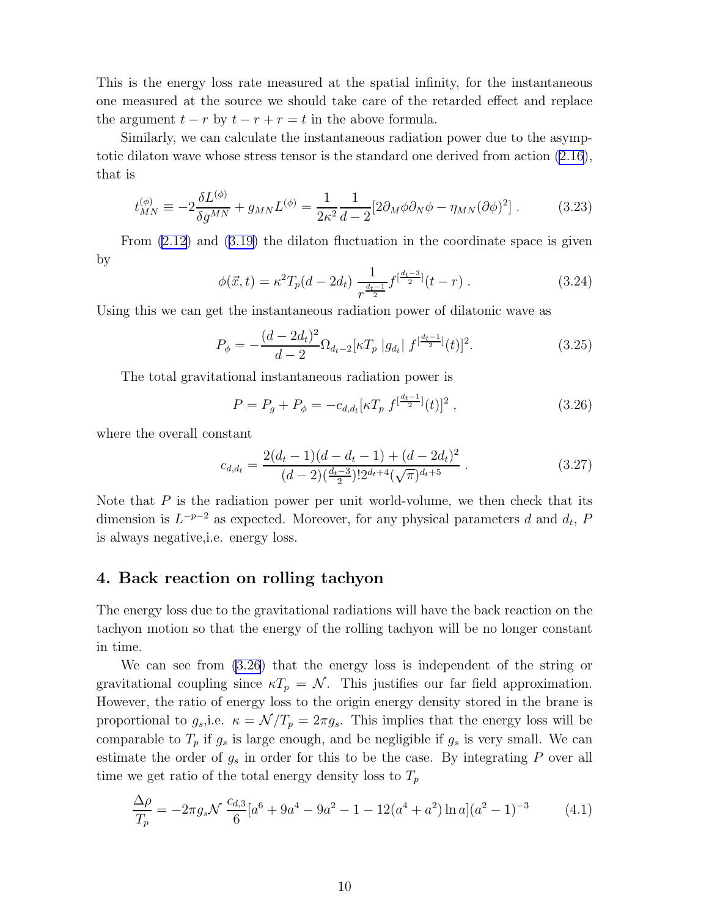<span id="page-10-0"></span>This is the energy loss rate measured at the spatial infinity, for the instantaneous one measured at the source we should take care of the retarded effect and replace the argument  $t - r$  by  $t - r + r = t$  in the above formula.

Similarly, we can calculate the instantaneous radiation power due to the asymptotic dilaton wave whose stress tensor is the standard one derived from action [\(2.16](#page-5-0)), that is

$$
t_{MN}^{(\phi)} \equiv -2\frac{\delta L^{(\phi)}}{\delta g^{MN}} + g_{MN}L^{(\phi)} = \frac{1}{2\kappa^2} \frac{1}{d-2} [2\partial_M \phi \partial_N \phi - \eta_{MN} (\partial \phi)^2] \,. \tag{3.23}
$$

From [\(2.12](#page-5-0)) and([3.19\)](#page-9-0) the dilaton fluctuation in the coordinate space is given by

$$
\phi(\vec{x},t) = \kappa^2 T_p(d - 2d_t) \frac{1}{r^{\frac{d_t - 1}{2}}} f^{\left[\frac{d_t - 3}{2}\right]}(t - r) \,. \tag{3.24}
$$

Using this we can get the instantaneous radiation power of dilatonic wave as

$$
P_{\phi} = -\frac{(d - 2d_t)^2}{d - 2} \Omega_{d_t - 2} [\kappa T_p | g_{d_t} | f^{[\frac{d_t - 1}{2}]}(t)]^2.
$$
 (3.25)

The total gravitational instantaneous radiation power is

$$
P = P_g + P_\phi = -c_{d,d_t} \left[ \kappa T_p \ f^{\left[\frac{d_t - 1}{2}\right]}(t) \right]^2 \,, \tag{3.26}
$$

where the overall constant

$$
c_{d,d_t} = \frac{2(d_t - 1)(d - d_t - 1) + (d - 2d_t)^2}{(d - 2)(\frac{d_t - 3}{2})!2^{d_t + 4}(\sqrt{\pi})^{d_t + 5}}.
$$
\n(3.27)

Note that  $P$  is the radiation power per unit world-volume, we then check that its dimension is  $L^{-p-2}$  as expected. Moreover, for any physical parameters d and  $d_t$ , F is always negative,i.e. energy loss.

# 4. Back reaction on rolling tachyon

The energy loss due to the gravitational radiations will have the back reaction on the tachyon motion so that the energy of the rolling tachyon will be no longer constant in time.

We can see from (3.26) that the energy loss is independent of the string or gravitational coupling since  $\kappa T_p = \mathcal{N}$ . This justifies our far field approximation. However, the ratio of energy loss to the origin energy density stored in the brane is proportional to  $g_s$ , i.e.  $\kappa = \mathcal{N}/T_p = 2\pi g_s$ . This implies that the energy loss will be comparable to  $T_p$  if  $g_s$  is large enough, and be negligible if  $g_s$  is very small. We can estimate the order of  $g_s$  in order for this to be the case. By integrating  $P$  over all time we get ratio of the total energy density loss to  $T_p$ 

$$
\frac{\Delta \rho}{T_p} = -2\pi g_s \mathcal{N} \frac{c_{d,3}}{6} [a^6 + 9a^4 - 9a^2 - 1 - 12(a^4 + a^2) \ln a] (a^2 - 1)^{-3}
$$
(4.1)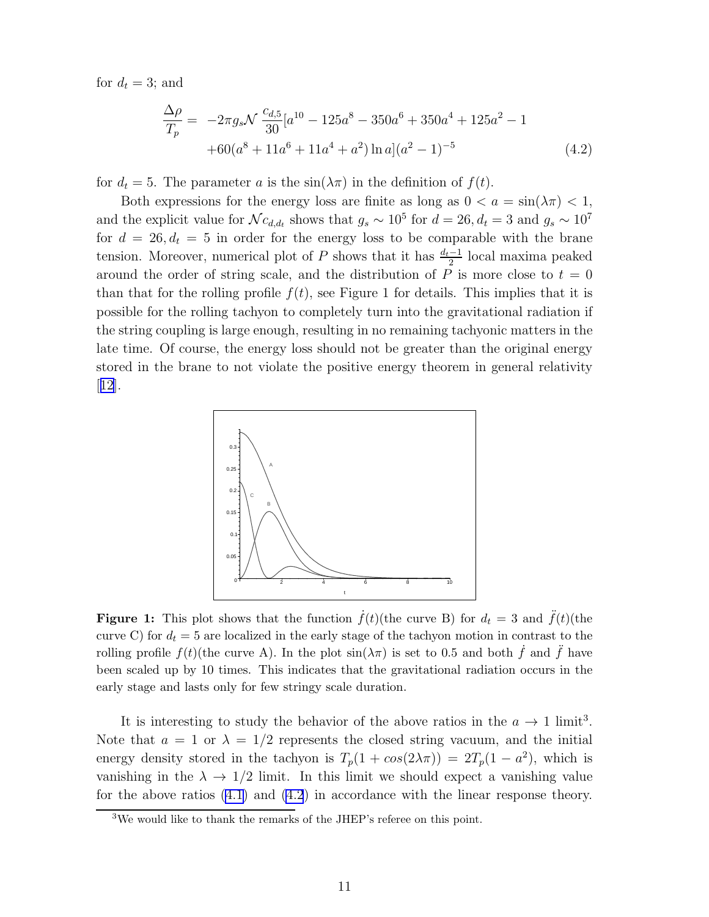<span id="page-11-0"></span>for  $d_t = 3$ ; and

$$
\frac{\Delta \rho}{T_p} = -2\pi g_s \mathcal{N} \frac{c_{d,5}}{30} [a^{10} - 125a^8 - 350a^6 + 350a^4 + 125a^2 - 1
$$
  
+60(a<sup>8</sup> + 11a<sup>6</sup> + 11a<sup>4</sup> + a<sup>2</sup>) ln a](a<sup>2</sup> - 1)<sup>-5</sup> (4.2)

for  $d_t = 5$ . The parameter a is the  $sin(\lambda \pi)$  in the definition of  $f(t)$ .

Both expressions for the energy loss are finite as long as  $0 < a = \sin(\lambda \pi) < 1$ , and the explicit value for  $\mathcal{N} c_{d,d_t}$  shows that  $g_s \sim 10^5$  for  $d = 26, d_t = 3$  and  $g_s \sim 10^7$ for  $d = 26, d_t = 5$  in order for the energy loss to be comparable with the brane tension. Moreover, numerical plot of P shows that it has  $\frac{d_t-1}{2}$  local maxima peaked around the order of string scale, and the distribution of  $P$  is more close to  $t = 0$ than that for the rolling profile  $f(t)$ , see Figure 1 for details. This implies that it is possible for the rolling tachyon to completely turn into the gravitational radiation if the string coupling is large enough, resulting in no remaining tachyonic matters in the late time. Of course, the energy loss should not be greater than the original energy stored in the brane to not violate the positive energy theorem in general relativity [[12](#page-17-0)].



**Figure 1:** This plot shows that the function  $\dot{f}(t)$ (the curve B) for  $d_t = 3$  and  $\ddot{f}(t)$ (the curve C) for  $d_t = 5$  are localized in the early stage of the tachyon motion in contrast to the rolling profile  $f(t)$ (the curve A). In the plot  $\sin(\lambda \pi)$  is set to 0.5 and both f and f have been scaled up by 10 times. This indicates that the gravitational radiation occurs in the early stage and lasts only for few stringy scale duration.

It is interesting to study the behavior of the above ratios in the  $a \to 1$  limit<sup>3</sup>. Note that  $a = 1$  or  $\lambda = 1/2$  represents the closed string vacuum, and the initial energy density stored in the tachyon is  $T_p(1 + cos(2\lambda \pi)) = 2T_p(1 - a^2)$ , which is vanishing in the  $\lambda \to 1/2$  limit. In this limit we should expect a vanishing value for the above ratios([4.1\)](#page-10-0) and (4.2) in accordance with the linear response theory.

<sup>3</sup>We would like to thank the remarks of the JHEP's referee on this point.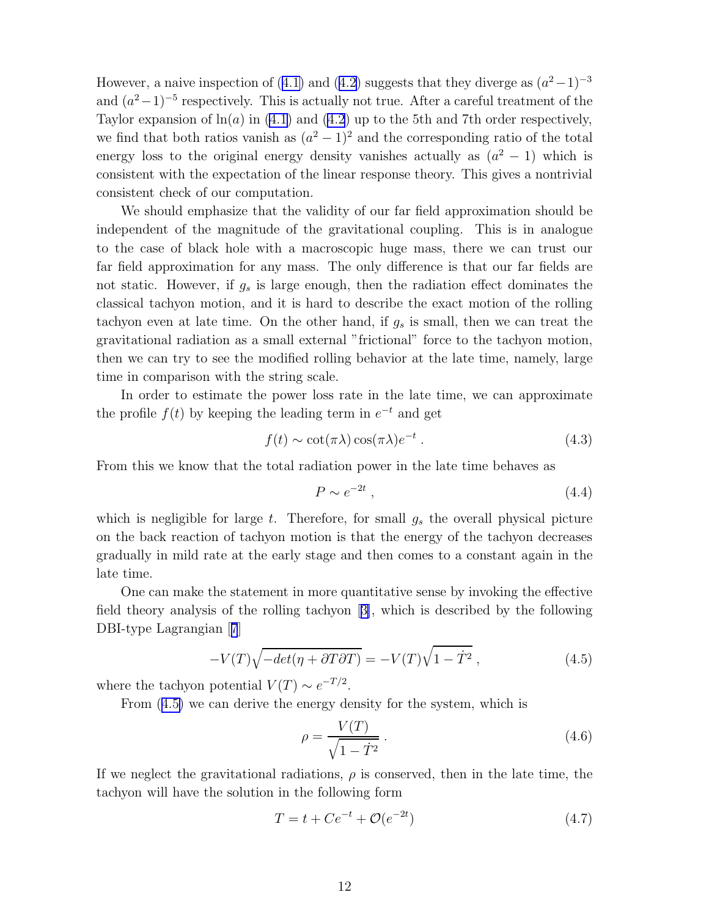<span id="page-12-0"></span>However,a naive inspection of ([4.1\)](#page-10-0) and ([4.2\)](#page-11-0) suggests that they diverge as  $(a^2-1)^{-3}$ and  $(a<sup>2</sup>-1)<sup>-5</sup>$  respectively. This is actually not true. After a careful treatment of the Taylor expansion of  $\ln(a)$  in [\(4.1](#page-10-0)) and [\(4.2](#page-11-0)) up to the 5th and 7th order respectively, we find that both ratios vanish as  $(a^2 - 1)^2$  and the corresponding ratio of the total energy loss to the original energy density vanishes actually as  $(a^2 - 1)$  which is consistent with the expectation of the linear response theory. This gives a nontrivial consistent check of our computation.

We should emphasize that the validity of our far field approximation should be independent of the magnitude of the gravitational coupling. This is in analogue to the case of black hole with a macroscopic huge mass, there we can trust our far field approximation for any mass. The only difference is that our far fields are not static. However, if  $g_s$  is large enough, then the radiation effect dominates the classical tachyon motion, and it is hard to describe the exact motion of the rolling tachyon even at late time. On the other hand, if  $g_s$  is small, then we can treat the gravitational radiation as a small external "frictional" force to the tachyon motion, then we can try to see the modified rolling behavior at the late time, namely, large time in comparison with the string scale.

In order to estimate the power loss rate in the late time, we can approximate the profile  $f(t)$  by keeping the leading term in  $e^{-t}$  and get

$$
f(t) \sim \cot(\pi \lambda) \cos(\pi \lambda) e^{-t} . \qquad (4.3)
$$

From this we know that the total radiation power in the late time behaves as

$$
P \sim e^{-2t} \tag{4.4}
$$

which is negligible for large t. Therefore, for small  $g_s$  the overall physical picture on the back reaction of tachyon motion is that the energy of the tachyon decreases gradually in mild rate at the early stage and then comes to a constant again in the late time.

One can make the statement in more quantitative sense by invoking the effective field theory analysis of the rolling tachyon[[3\]](#page-15-0), which is described by the following DBI-type Lagrangian[[7](#page-16-0)]

$$
-V(T)\sqrt{-det(\eta + \partial T\partial T)} = -V(T)\sqrt{1 - \dot{T}^2} ,\qquad (4.5)
$$

where the tachyon potential  $V(T) \sim e^{-T/2}$ .

From (4.5) we can derive the energy density for the system, which is

$$
\rho = \frac{V(T)}{\sqrt{1 - \dot{T}^2}} \,. \tag{4.6}
$$

If we neglect the gravitational radiations,  $\rho$  is conserved, then in the late time, the tachyon will have the solution in the following form

$$
T = t + Ce^{-t} + \mathcal{O}(e^{-2t})
$$
\n(4.7)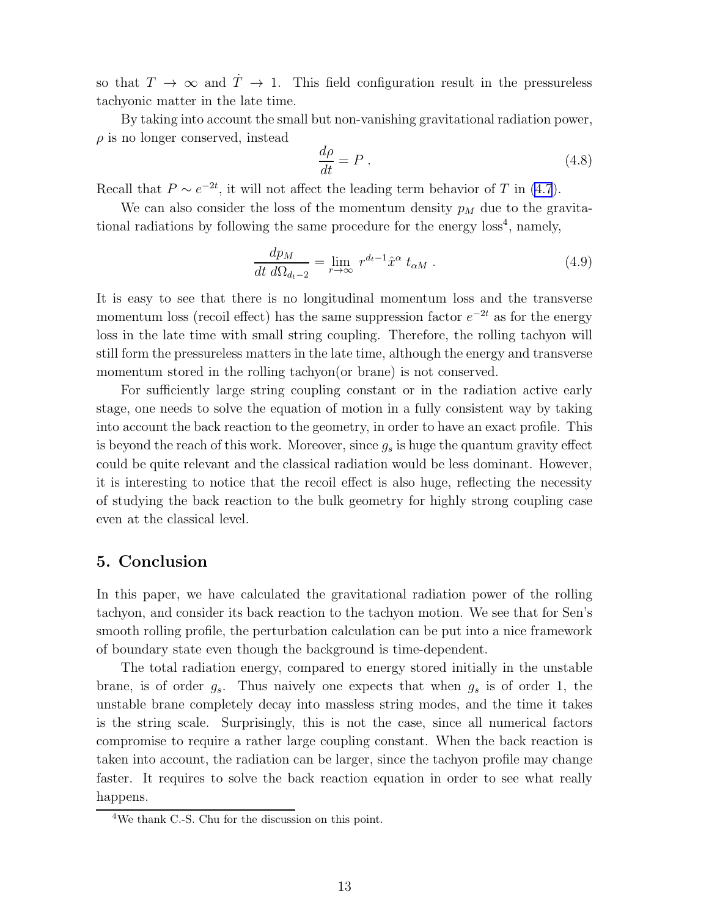<span id="page-13-0"></span>so that  $T \to \infty$  and  $\dot{T} \to 1$ . This field configuration result in the pressureless tachyonic matter in the late time.

By taking into account the small but non-vanishing gravitational radiation power,  $\rho$  is no longer conserved, instead

$$
\frac{d\rho}{dt} = P \tag{4.8}
$$

Recall that  $P \sim e^{-2t}$ , it will not affect the leading term behavior of T in [\(4.7](#page-12-0)).

We can also consider the loss of the momentum density  $p_M$  due to the gravitational radiations by following the same procedure for the energy loss 4 , namely,

$$
\frac{dp_M}{dt \, d\Omega_{d_t-2}} = \lim_{r \to \infty} r^{d_t-1} \hat{x}^\alpha t_{\alpha M} . \tag{4.9}
$$

It is easy to see that there is no longitudinal momentum loss and the transverse momentum loss (recoil effect) has the same suppression factor  $e^{-2t}$  as for the energy loss in the late time with small string coupling. Therefore, the rolling tachyon will still form the pressureless matters in the late time, although the energy and transverse momentum stored in the rolling tachyon(or brane) is not conserved.

For sufficiently large string coupling constant or in the radiation active early stage, one needs to solve the equation of motion in a fully consistent way by taking into account the back reaction to the geometry, in order to have an exact profile. This is beyond the reach of this work. Moreover, since  $g_s$  is huge the quantum gravity effect could be quite relevant and the classical radiation would be less dominant. However, it is interesting to notice that the recoil effect is also huge, reflecting the necessity of studying the back reaction to the bulk geometry for highly strong coupling case even at the classical level.

## 5. Conclusion

In this paper, we have calculated the gravitational radiation power of the rolling tachyon, and consider its back reaction to the tachyon motion. We see that for Sen's smooth rolling profile, the perturbation calculation can be put into a nice framework of boundary state even though the background is time-dependent.

The total radiation energy, compared to energy stored initially in the unstable brane, is of order  $g_s$ . Thus naively one expects that when  $g_s$  is of order 1, the unstable brane completely decay into massless string modes, and the time it takes is the string scale. Surprisingly, this is not the case, since all numerical factors compromise to require a rather large coupling constant. When the back reaction is taken into account, the radiation can be larger, since the tachyon profile may change faster. It requires to solve the back reaction equation in order to see what really happens.

<sup>4</sup>We thank C.-S. Chu for the discussion on this point.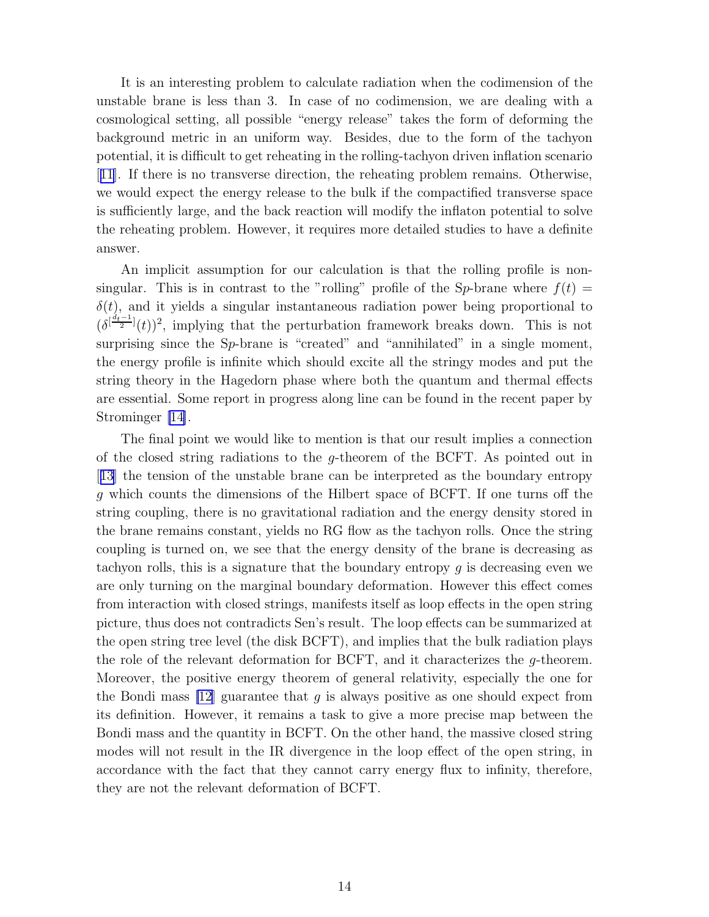It is an interesting problem to calculate radiation when the codimension of the unstable brane is less than 3. In case of no codimension, we are dealing with a cosmological setting, all possible "energy release" takes the form of deforming the background metric in an uniform way. Besides, due to the form of the tachyon potential, it is difficult to get reheating in the rolling-tachyon driven inflation scenario [[11](#page-16-0)]. If there is no transverse direction, the reheating problem remains. Otherwise, we would expect the energy release to the bulk if the compactified transverse space is sufficiently large, and the back reaction will modify the inflaton potential to solve the reheating problem. However, it requires more detailed studies to have a definite answer.

An implicit assumption for our calculation is that the rolling profile is nonsingular. This is in contrast to the "rolling" profile of the Sp-brane where  $f(t)$  =  $\delta(t)$ , and it yields a singular instantaneous radiation power being proportional to  $(\delta^{[\frac{d_i-1}{2}]}(t))^2$ , implying that the perturbation framework breaks down. This is not surprising since the Sp-brane is "created" and "annihilated" in a single moment, the energy profile is infinite which should excite all the stringy modes and put the string theory in the Hagedorn phase where both the quantum and thermal effects are essential. Some report in progress along line can be found in the recent paper by Strominger[[14\]](#page-17-0).

The final point we would like to mention is that our result implies a connection of the closed string radiations to the g-theorem of the BCFT. As pointed out in [[13](#page-17-0)] the tension of the unstable brane can be interpreted as the boundary entropy g which counts the dimensions of the Hilbert space of BCFT. If one turns off the string coupling, there is no gravitational radiation and the energy density stored in the brane remains constant, yields no RG flow as the tachyon rolls. Once the string coupling is turned on, we see that the energy density of the brane is decreasing as tachyon rolls, this is a signature that the boundary entropy  $q$  is decreasing even we are only turning on the marginal boundary deformation. However this effect comes from interaction with closed strings, manifests itself as loop effects in the open string picture, thus does not contradicts Sen's result. The loop effects can be summarized at the open string tree level (the disk BCFT), and implies that the bulk radiation plays the role of the relevant deformation for BCFT, and it characterizes the g-theorem. Moreover, the positive energy theorem of general relativity, especially the one for the Bondi mass  $[12]$  guarantee that g is always positive as one should expect from its definition. However, it remains a task to give a more precise map between the Bondi mass and the quantity in BCFT. On the other hand, the massive closed string modes will not result in the IR divergence in the loop effect of the open string, in accordance with the fact that they cannot carry energy flux to infinity, therefore, they are not the relevant deformation of BCFT.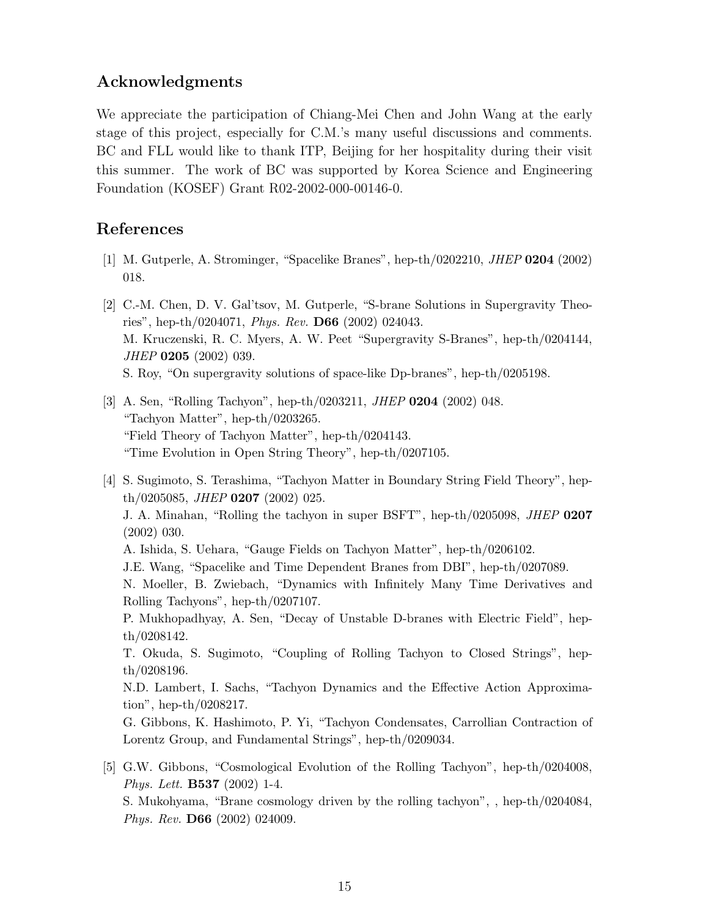# <span id="page-15-0"></span>Acknowledgments

We appreciate the participation of Chiang-Mei Chen and John Wang at the early stage of this project, especially for C.M.'s many useful discussions and comments. BC and FLL would like to thank ITP, Beijing for her hospitality during their visit this summer. The work of BC was supported by Korea Science and Engineering Foundation (KOSEF) Grant R02-2002-000-00146-0.

# References

- [1] M. Gutperle, A. Strominger, "Spacelike Branes", hep-th/0202210, JHEP 0204 (2002) 018.
- [2] C.-M. Chen, D. V. Gal'tsov, M. Gutperle, "S-brane Solutions in Supergravity Theories", hep-th/0204071, *Phys. Rev.* **D66** (2002) 024043. M. Kruczenski, R. C. Myers, A. W. Peet "Supergravity S-Branes", hep-th/0204144, JHEP 0205 (2002) 039. S. Roy, "On supergravity solutions of space-like Dp-branes", hep-th/0205198.
- [3] A. Sen, "Rolling Tachyon", hep-th/0203211, *JHEP* **0204** (2002) 048. "Tachyon Matter", hep-th/0203265. "Field Theory of Tachyon Matter", hep-th/0204143. "Time Evolution in Open String Theory", hep-th/0207105.
- [4] S. Sugimoto, S. Terashima, "Tachyon Matter in Boundary String Field Theory", hep $th/0205085$ , *JHEP* **0207** (2002) 025. J. A. Minahan, "Rolling the tachyon in super BSFT", hep-th/0205098, JHEP 0207 (2002) 030. A. Ishida, S. Uehara, "Gauge Fields on Tachyon Matter", hep-th/0206102. J.E. Wang, "Spacelike and Time Dependent Branes from DBI", hep-th/0207089. N. Moeller, B. Zwiebach, "Dynamics with Infinitely Many Time Derivatives and Rolling Tachyons", hep-th/0207107. P. Mukhopadhyay, A. Sen, "Decay of Unstable D-branes with Electric Field", hepth/0208142. T. Okuda, S. Sugimoto, "Coupling of Rolling Tachyon to Closed Strings", hepth/0208196. N.D. Lambert, I. Sachs, "Tachyon Dynamics and the Effective Action Approximation", hep-th/0208217. G. Gibbons, K. Hashimoto, P. Yi, "Tachyon Condensates, Carrollian Contraction of Lorentz Group, and Fundamental Strings", hep-th/0209034. [5] G.W. Gibbons, "Cosmological Evolution of the Rolling Tachyon", hep-th/0204008,
	- Phys. Lett. B537 (2002) 1-4. S. Mukohyama, "Brane cosmology driven by the rolling tachyon", , hep-th/0204084, Phys. Rev. D66 (2002) 024009.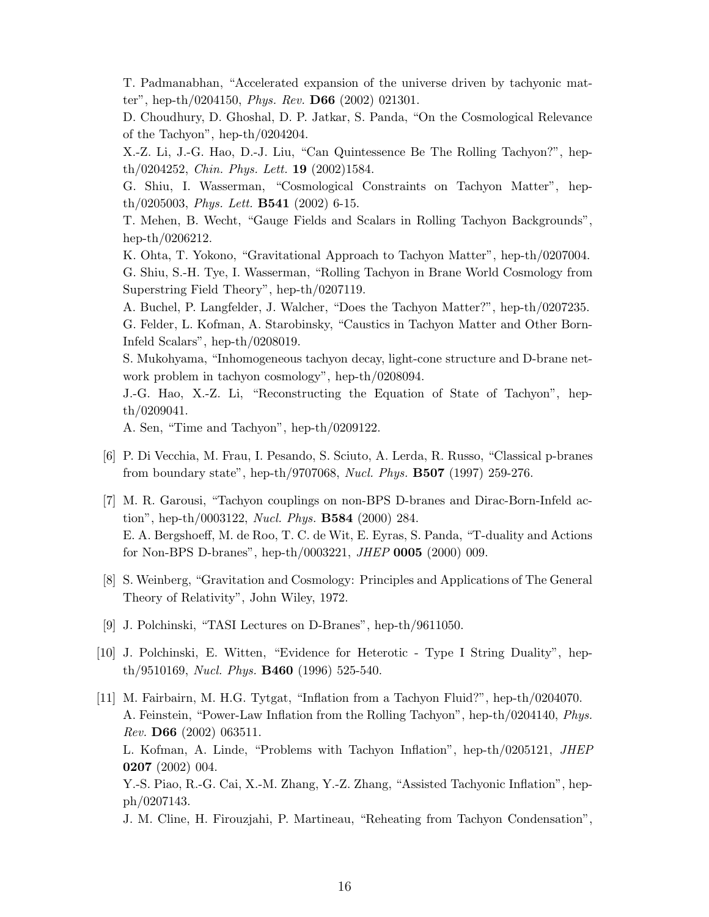<span id="page-16-0"></span>T. Padmanabhan, "Accelerated expansion of the universe driven by tachyonic matter", hep-th/0204150, *Phys. Rev.* **D66** (2002) 021301.

D. Choudhury, D. Ghoshal, D. P. Jatkar, S. Panda, "On the Cosmological Relevance of the Tachyon", hep-th/0204204.

X.-Z. Li, J.-G. Hao, D.-J. Liu, "Can Quintessence Be The Rolling Tachyon?", hep- $\th/0204252$ , *Chin. Phys. Lett.* **19** (2002)1584.

G. Shiu, I. Wasserman, "Cosmological Constraints on Tachyon Matter", hep $th/0205003$ , *Phys. Lett.* **B541** (2002) 6-15.

T. Mehen, B. Wecht, "Gauge Fields and Scalars in Rolling Tachyon Backgrounds", hep-th/0206212.

K. Ohta, T. Yokono, "Gravitational Approach to Tachyon Matter", hep-th/0207004. G. Shiu, S.-H. Tye, I. Wasserman, "Rolling Tachyon in Brane World Cosmology from Superstring Field Theory", hep-th/0207119.

A. Buchel, P. Langfelder, J. Walcher, "Does the Tachyon Matter?", hep-th/0207235. G. Felder, L. Kofman, A. Starobinsky, "Caustics in Tachyon Matter and Other Born-Infeld Scalars", hep-th/0208019.

S. Mukohyama, "Inhomogeneous tachyon decay, light-cone structure and D-brane network problem in tachyon cosmology", hep-th/0208094.

J.-G. Hao, X.-Z. Li, "Reconstructing the Equation of State of Tachyon", hepth/0209041.

A. Sen, "Time and Tachyon", hep-th/0209122.

- [6] P. Di Vecchia, M. Frau, I. Pesando, S. Sciuto, A. Lerda, R. Russo, "Classical p-branes from boundary state", hep-th/9707068, Nucl. Phys. B507 (1997) 259-276.
- [7] M. R. Garousi, "Tachyon couplings on non-BPS D-branes and Dirac-Born-Infeld action", hep-th/0003122, Nucl. Phys. B584 (2000) 284. E. A. Bergshoeff, M. de Roo, T. C. de Wit, E. Eyras, S. Panda, "T-duality and Actions for Non-BPS D-branes", hep-th/0003221, JHEP 0005 (2000) 009.
- [8] S. Weinberg, "Gravitation and Cosmology: Principles and Applications of The General Theory of Relativity", John Wiley, 1972.
- [9] J. Polchinski, "TASI Lectures on D-Branes", hep-th/9611050.
- [10] J. Polchinski, E. Witten, "Evidence for Heterotic Type I String Duality", hepth/9510169, Nucl. Phys. B460 (1996) 525-540.
- [11] M. Fairbairn, M. H.G. Tytgat, "Inflation from a Tachyon Fluid?", hep-th/0204070. A. Feinstein, "Power-Law Inflation from the Rolling Tachyon", hep-th/0204140, Phys. Rev. D66 (2002) 063511. L. Kofman, A. Linde, "Problems with Tachyon Inflation", hep-th/0205121, JHEP 0207 (2002) 004. Y.-S. Piao, R.-G. Cai, X.-M. Zhang, Y.-Z. Zhang, "Assisted Tachyonic Inflation", hepph/0207143.

J. M. Cline, H. Firouzjahi, P. Martineau, "Reheating from Tachyon Condensation",